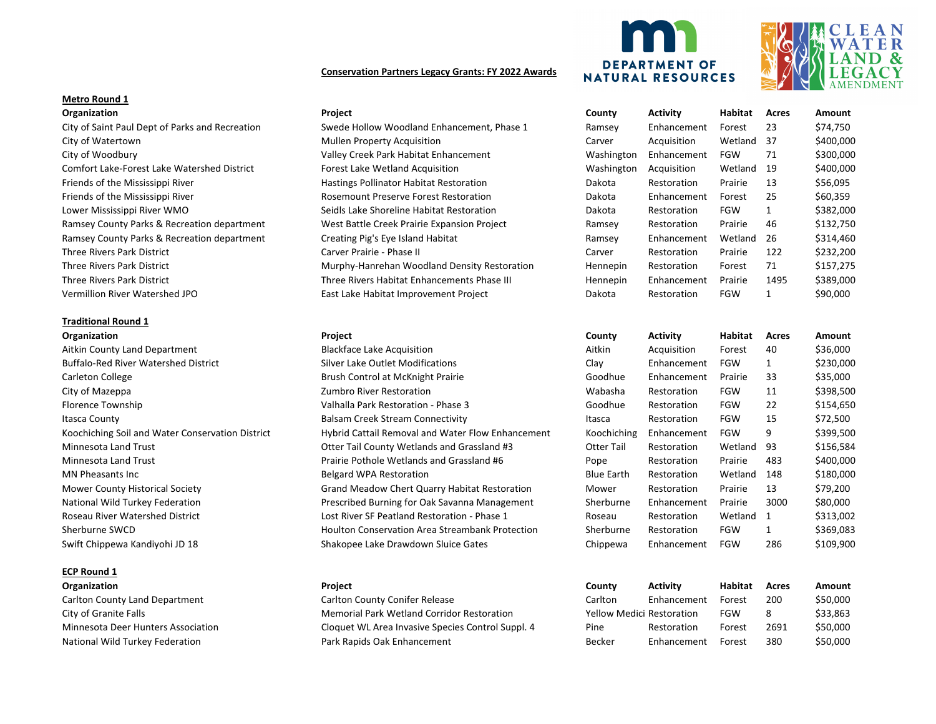# **Conservation Partners Legacy Grants: FY 2022 Awards**

# **Metro Round 1**

### **Traditional Round 1**

# **ECP Round 1**





| Organization                                    | Project                                      | County     | <b>Activity</b> | Habitat    | Acres | Amount    |
|-------------------------------------------------|----------------------------------------------|------------|-----------------|------------|-------|-----------|
| City of Saint Paul Dept of Parks and Recreation | Swede Hollow Woodland Enhancement, Phase 1   | Ramsey     | Enhancement     | Forest     | 23    | \$74,750  |
| City of Watertown                               | <b>Mullen Property Acquisition</b>           | Carver     | Acquisition     | Wetland 37 |       | \$400,000 |
| City of Woodbury                                | Valley Creek Park Habitat Enhancement        | Washington | Enhancement     | FGW        | 71    | \$300,000 |
| Comfort Lake-Forest Lake Watershed District     | Forest Lake Wetland Acquisition              | Washington | Acquisition     | Wetland    | -19   | \$400,000 |
| Friends of the Mississippi River                | Hastings Pollinator Habitat Restoration      | Dakota     | Restoration     | Prairie    | 13    | \$56,095  |
| Friends of the Mississippi River                | Rosemount Preserve Forest Restoration        | Dakota     | Enhancement     | Forest     | 25    | \$60,359  |
| Lower Mississippi River WMO                     | Seidls Lake Shoreline Habitat Restoration    | Dakota     | Restoration     | <b>FGW</b> |       | \$382,000 |
| Ramsey County Parks & Recreation department     | West Battle Creek Prairie Expansion Project  | Ramsey     | Restoration     | Prairie    | 46    | \$132,750 |
| Ramsey County Parks & Recreation department     | Creating Pig's Eye Island Habitat            | Ramsey     | Enhancement     | Wetland    | -26   | \$314,460 |
| Three Rivers Park District                      | Carver Prairie - Phase II                    | Carver     | Restoration     | Prairie    | 122   | \$232,200 |
| Three Rivers Park District                      | Murphy-Hanrehan Woodland Density Restoration | Hennepin   | Restoration     | Forest     | 71    | \$157,275 |
| Three Rivers Park District                      | Three Rivers Habitat Enhancements Phase III  | Hennepin   | Enhancement     | Prairie    | 1495  | \$389,000 |
| Vermillion River Watershed JPO                  | East Lake Habitat Improvement Project        | Dakota     | Restoration     | <b>FGW</b> |       | \$90,000  |
|                                                 |                                              |            |                 |            |       |           |

| Organization                                     | Project                                                | County      | Activity    | Habitat    | Acres        | Amount    |
|--------------------------------------------------|--------------------------------------------------------|-------------|-------------|------------|--------------|-----------|
| Aitkin County Land Department                    | <b>Blackface Lake Acquisition</b>                      | Aitkin      | Acquisition | Forest     | 40           | \$36,000  |
| <b>Buffalo-Red River Watershed District</b>      | Silver Lake Outlet Modifications                       | Clay        | Enhancement | <b>FGW</b> |              | \$230,000 |
| Carleton College                                 | Brush Control at McKnight Prairie                      | Goodhue     | Enhancement | Prairie    | 33           | \$35,000  |
| City of Mazeppa                                  | Zumbro River Restoration                               | Wabasha     | Restoration | <b>FGW</b> | 11           | \$398,500 |
| Florence Township                                | Valhalla Park Restoration - Phase 3                    | Goodhue     | Restoration | <b>FGW</b> | 22           | \$154,650 |
| Itasca County                                    | Balsam Creek Stream Connectivity                       | Itasca      | Restoration | <b>FGW</b> | 15           | \$72,500  |
| Koochiching Soil and Water Conservation District | Hybrid Cattail Removal and Water Flow Enhancement      | Koochiching | Enhancement | <b>FGW</b> | 9            | \$399,500 |
| Minnesota Land Trust                             | Otter Tail County Wetlands and Grassland #3            | Otter Tail  | Restoration | Wetland    | -93          | \$156,584 |
| Minnesota Land Trust                             | Prairie Pothole Wetlands and Grassland #6              | Pope        | Restoration | Prairie    | 483          | \$400,000 |
| <b>MN Pheasants Inc</b>                          | <b>Belgard WPA Restoration</b>                         | Blue Earth  | Restoration | Wetland    | 148          | \$180,000 |
| Mower County Historical Society                  | Grand Meadow Chert Quarry Habitat Restoration          | Mower       | Restoration | Prairie    | 13           | \$79,200  |
| National Wild Turkey Federation                  | Prescribed Burning for Oak Savanna Management          | Sherburne   | Enhancement | Prairie    | 3000         | \$80,000  |
| Roseau River Watershed District                  | Lost River SF Peatland Restoration - Phase 1           | Roseau      | Restoration | Wetland 1  |              | \$313,002 |
| Sherburne SWCD                                   | <b>Houlton Conservation Area Streambank Protection</b> | Sherburne   | Restoration | <b>FGW</b> | $\mathbf{1}$ | \$369,083 |
| Swift Chippewa Kandiyohi JD 18                   | Shakopee Lake Drawdown Sluice Gates                    | Chippewa    | Enhancement | FGW        | 286          | \$109,900 |
|                                                  |                                                        |             |             |            |              |           |

| Organization                       | <b>Project</b>                                    | County                    | Activity    | Habitat | Acres | Amount   |
|------------------------------------|---------------------------------------------------|---------------------------|-------------|---------|-------|----------|
| Carlton County Land Department     | <b>Carlton County Conifer Release</b>             | Carlton                   | Enhancement | Forest  | 200   | \$50,000 |
| City of Granite Falls              | <b>Memorial Park Wetland Corridor Restoration</b> | Yellow Medici Restoration |             | FGW     |       | \$33,863 |
| Minnesota Deer Hunters Association | Cloquet WL Area Invasive Species Control Suppl. 4 | Pine                      | Restoration | Forest  | 2691  | \$50,000 |
| National Wild Turkey Federation    | Park Rapids Oak Enhancement                       | Becker                    | Enhancement | Forest  | 380   | \$50,000 |